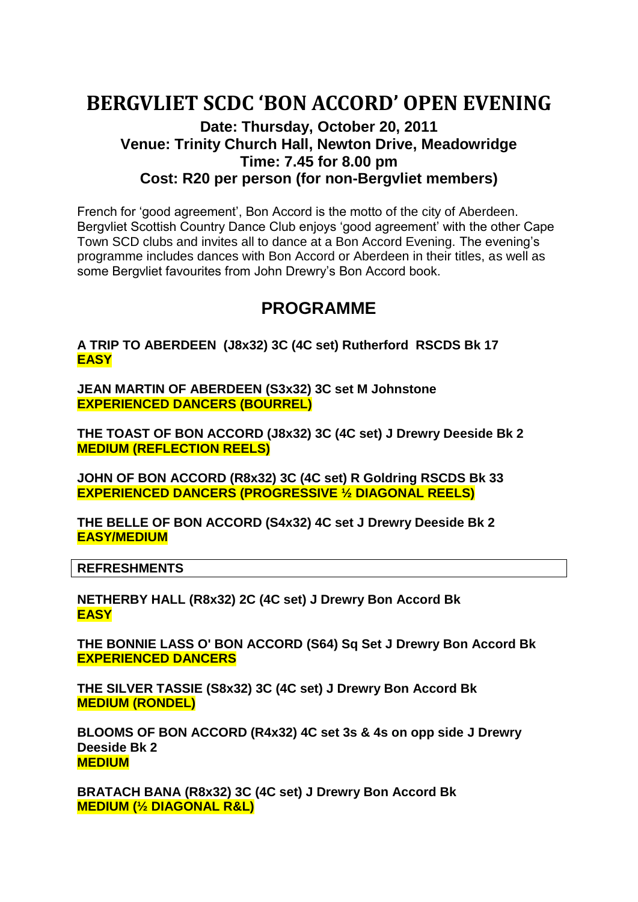# **BERGVLIET SCDC 'BON ACCORD' OPEN EVENING**

## **Date: Thursday, October 20, 2011 Venue: Trinity Church Hall, Newton Drive, Meadowridge Time: 7.45 for 8.00 pm Cost: R20 per person (for non-Bergvliet members)**

French for 'good agreement', Bon Accord is the motto of the city of Aberdeen. Bergvliet Scottish Country Dance Club enjoys 'good agreement' with the other Cape Town SCD clubs and invites all to dance at a Bon Accord Evening. The evening's programme includes dances with Bon Accord or Aberdeen in their titles, as well as some Bergvliet favourites from John Drewry's Bon Accord book.

# **PROGRAMME**

**A TRIP TO ABERDEEN (J8x32) 3C (4C set) Rutherford RSCDS Bk 17 EASY**

**JEAN MARTIN OF ABERDEEN (S3x32) 3C set M Johnstone EXPERIENCED DANCERS (BOURREL)**

**THE TOAST OF BON ACCORD (J8x32) 3C (4C set) J Drewry Deeside Bk 2 MEDIUM (REFLECTION REELS)**

**JOHN OF BON ACCORD (R8x32) 3C (4C set) R Goldring RSCDS Bk 33 EXPERIENCED DANCERS (PROGRESSIVE ½ DIAGONAL REELS)**

**THE BELLE OF BON ACCORD (S4x32) 4C set J Drewry Deeside Bk 2 EASY/MEDIUM**

**REFRESHMENTS**

**NETHERBY HALL (R8x32) 2C (4C set) J Drewry Bon Accord Bk EASY**

**THE BONNIE LASS O' BON ACCORD (S64) Sq Set J Drewry Bon Accord Bk EXPERIENCED DANCERS**

**THE SILVER TASSIE (S8x32) 3C (4C set) J Drewry Bon Accord Bk MEDIUM (RONDEL)**

**BLOOMS OF BON ACCORD (R4x32) 4C set 3s & 4s on opp side J Drewry Deeside Bk 2 MEDIUM**

**BRATACH BANA (R8x32) 3C (4C set) J Drewry Bon Accord Bk MEDIUM (½ DIAGONAL R&L)**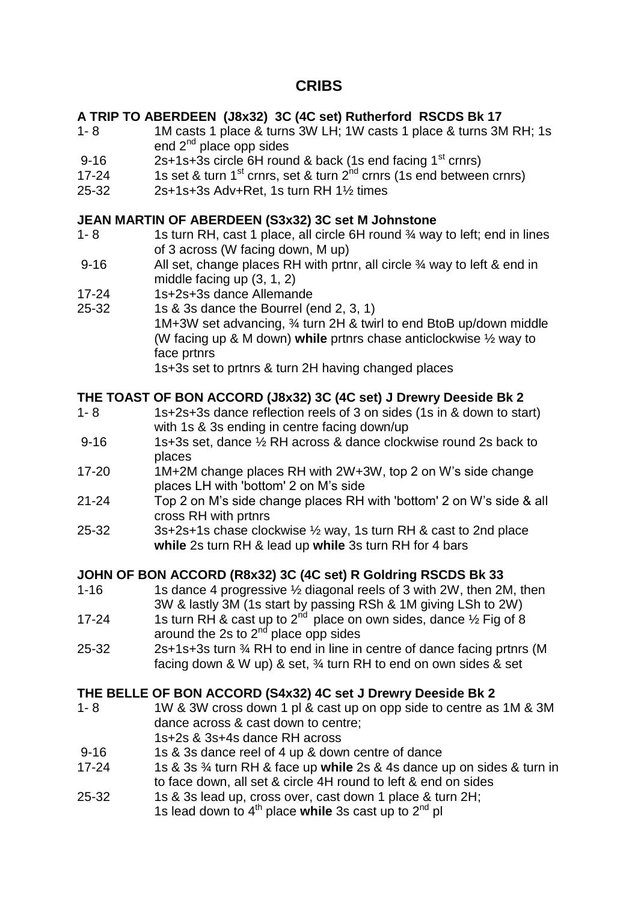# **CRIBS**

#### **A TRIP TO ABERDEEN (J8x32) 3C (4C set) Rutherford RSCDS Bk 17**

- 1- 8 1M casts 1 place & turns 3W LH; 1W casts 1 place & turns 3M RH; 1s end  $2^{nd}$  place opp sides
- 9-16 2s+1s+3s circle 6H round & back (1s end facing  $1<sup>st</sup>$  crnrs)
- 17-24 1s set & turn 1<sup>st</sup> crnrs, set & turn  $2^{nd}$  crnrs (1s end between crnrs)
- 25-32 2s+1s+3s Adv+Ret, 1s turn RH 1½ times

#### **JEAN MARTIN OF ABERDEEN (S3x32) 3C set M Johnstone**

- 1- 8 1s turn RH, cast 1 place, all circle 6H round <sup>3</sup>/4 way to left; end in lines of 3 across (W facing down, M up)
- 9-16 All set, change places RH with prtnr, all circle % way to left & end in middle facing up (3, 1, 2)
- 17-24 1s+2s+3s dance Allemande
- 25-32 1s & 3s dance the Bourrel (end 2, 3, 1) 1M+3W set advancing, ¾ turn 2H & twirl to end BtoB up/down middle (W facing up & M down) **while** prtnrs chase anticlockwise ½ way to face prtnrs

1s+3s set to prtnrs & turn 2H having changed places

#### **THE TOAST OF BON ACCORD (J8x32) 3C (4C set) J Drewry Deeside Bk 2**

- 1- 8 1s+2s+3s dance reflection reels of 3 on sides (1s in & down to start) with 1s & 3s ending in centre facing down/up
- 9-16 1s+3s set, dance 1/2 RH across & dance clockwise round 2s back to places
- 17-20 1M+2M change places RH with 2W+3W, top 2 on W's side change places LH with 'bottom' 2 on M's side
- 21-24 Top 2 on M's side change places RH with 'bottom' 2 on W's side & all cross RH with prtnrs
- 25-32 3s+2s+1s chase clockwise ½ way, 1s turn RH & cast to 2nd place **while** 2s turn RH & lead up **while** 3s turn RH for 4 bars

#### **JOHN OF BON ACCORD (R8x32) 3C (4C set) R Goldring RSCDS Bk 33**

- 1-16 1s dance 4 progressive 1/2 diagonal reels of 3 with 2W, then 2M, then 3W & lastly 3M (1s start by passing RSh & 1M giving LSh to 2W)
- 17-24 1s turn RH & cast up to  $2<sup>nd</sup>$  place on own sides, dance  $\frac{1}{2}$  Fig of 8 around the 2s to 2<sup>nd</sup> place opp sides
- 25-32 2s+1s+3s turn ¾ RH to end in line in centre of dance facing prtnrs (M facing down & W up) & set, ¾ turn RH to end on own sides & set

#### **THE BELLE OF BON ACCORD (S4x32) 4C set J Drewry Deeside Bk 2**

- 1- 8 1W & 3W cross down 1 pl & cast up on opp side to centre as 1M & 3M dance across & cast down to centre; 1s+2s & 3s+4s dance RH across
- 9-16 1s & 3s dance reel of 4 up & down centre of dance
- 17-24 1s & 3s ¾ turn RH & face up **while** 2s & 4s dance up on sides & turn in to face down, all set & circle 4H round to left & end on sides
- 25-32 1s & 3s lead up, cross over, cast down 1 place & turn 2H; 1s lead down to 4<sup>th</sup> place while 3s cast up to 2<sup>nd</sup> pl